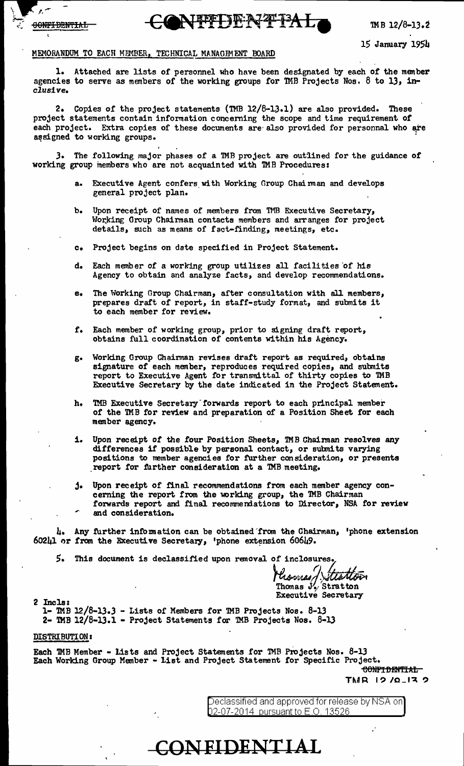



15 January 1951'

## MEMORANDUM TO EACH MEMBER, TECHNICAL MANAGEMENT BOARD

1. Attached are lists of personnel who have been designated by each of the menber agencies to serve as members of the working groups for TMB Projects Nos. 8 to 13, inclusive.

2. Copies of the project statements (TMB 12/6-lJ.l) are also provided. These project statements contain information concerning the scope and time requirement of each project. Extra copies of these documents are also provided for personnal who are assigned to working groups.

). The following major phases of a 1MB project are outiined for the guidance or working group members who are not acquainted with TMB Procedures:

- a. Executive Agent confers with Working Group Chairman and develops general project plan.
- b. Upon receipt of names of menbers from TMB Executive Secretary, Working Group Chairman contacts members and arranges for project details, such as means of fact-finding, meetings, etc.
- c. Project begins on date specified in Project Statement.
- d. Each member of a working group utilizes all facilities of his Agency to obtain and analyze facts, and develop recommendations.
- e. The Working Group Chairman, after consultation with al1 members, prepares draft of report, in staff-study format, and submits it to each member for review.
- f. Each member of working group, prior to signing draft report, obtains full coordination or contents within his Agency.
- g. Working Group Chainnan revises draft report as required, obtains signature of each menber, reproduces required copies, and submits report to Executive Agent for transmittal of thirty copies to TMB Executive Secretary by the date indicated in the Project Statement.
- h. TMB Executive Secretary forwards report to each principal member of the TMB for review and preparation of a Position Sheet for each member agency.
- i. Upon receipt of the four Position Sheets, TMB Chairman resolves any differences if possible by personal contact, or submits varying positions to member agencies for further consideration, or presents report for further consideration at a TMB meeting.
- j. Upon receipt of final recommendations from each member agency concerning the report from the working group, the TMB Chairman forwards report and final recommeniations to Director, NSA for review and consideration.

4. Any further infomation can be obtained 'from the Chairman, 'phone extension 60241 or from the Executive Secretary, 'phone extension 60649.

5. This document is declassified upon removal of inclosures.

ttattan

Thomas  $J'_{\gamma}$ . Stratton Executive Secretary 2 Incls:

2 Incls:<br>1- TMB 12/8-13.3 - Lists of Members for TMB Projects Nos. 8-13 2- TMB  $12/8$ -13.1 - Project Statements for TMB Projects Nos. 8-13

### DISTRIBUTION a

Each TMB Member - Lists and Project Statements for TMB Projects Nos. 8-13 Each Working Group Member - list and Project Statement tor Specific Project.

**CONFIDENTIAL** 

confidential- $TMR$  19/0\_13 9

Declassified and approved for release by NSA on] 02-07-2014 pursuant to E.O. 13526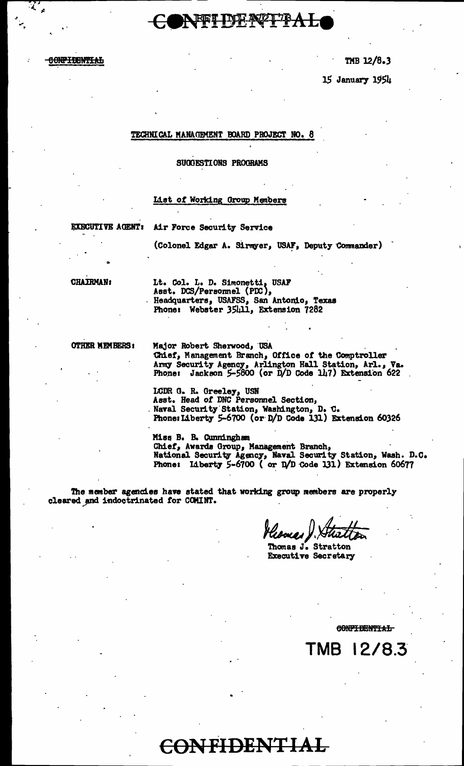

TMB 12/8.3

15 January 1954

### TECHNICAL MANAGEMENT BOARD PROJECT NO. 8

### SUGGESTIONS PROGRAMS

### List of Working Group Members

**EXECUTIVE AGENT:** 

Air Force Security Service

(Colonel Edgar A. Sirmyer, USAF, Deputy Commander)

**CHAIRMAN:** 

Lt. Col. L. D. Simonetti, USAF<br>Asst. DCS/Personnel (PDC),<br>Headquarters, USAFSS, San Antonio, Texas Phone: Webster 35411, Extension 7282

**OTHER MEMBERS:** 

Major Robert Sherwood, USA Chief, Management Branch, Office of the Comptroller<br>Army Security Agency, Arlington Hall Station, Arl., Va.<br>Phone: Jackson 5-5800 (or D/D Code 147) Extension 622

LCDR G. R. Greeley, USN Asst. Head of DNC Personnel Section, Naval Security Station, Washington, D. C.<br>Phone: Liberty 5-6700 (or D/D Code 131) Extension 60326

Miss B. B. Cunningham Chief, Awards Group, Management Branch,<br>National Security Agency, Naval Security Station, Wash. D.C.<br>Phone: Liberty 5-6700 (or D/D Code 131) Extension 60677

The member agencies have stated that working group members are properly cleared and indoctrinated for COMINT.

Thomas J. Stratton **Executive Secretary** 

CONFIDENTIAL

TMB 12/8.3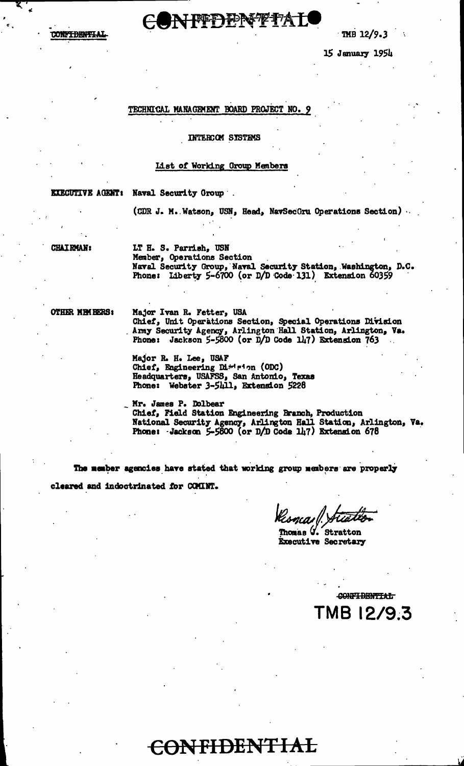## NFFDPNFfAL TMB 12/9.3

15 January 1954

### TECHNICAL MANAGEMENT BOARD PROJECT NO. 9

### INTERCOM SYSTEMS

### List of Working Group Members

**EXECUTIVE AGENT: Naval Security Group ...** 

(CDR J. M. Watson, USN, Head, NavSecGru Operations Section).

**CHAIRMAN:** 

LT H. S. Parrish, USN Member, Operations Section Naval Security Group, Naval Security Station, Washington, D.C.<br>Phone: Liberty 5-6700 (or D/D Code 131) Extension 60359

OTHER MEMBERS:

Major Ivan R. Fetter, USA Chief, Unit Operations Section, Special Operations Division<br>Army Security Agency, Arlington Hall Station, Arlington, Va.<br>Phone: Jackson 5-5800 (or D/D Code 147) Extension 763

Major R. H. Lee, USAF Chief, Engineering Dirdeion (ODC) Headquarters, USAFSS, San Antonio, Texas Phone: Webster 3-5411, Extension 5228

Mr. James P. Dolbear<br>Chief, Field Station Engineering Branch, Production National Security Agency, Arlington Hall Station, Arlington, Va.<br>Phone: Jackson 5-5800 (or D/D Code 147) Extension 678

The member agencies have stated that working group members are properly cleared and indoctrinated for COMINT.

ncaill

Thomas  $\mathcal{G}$ . Stratton **Executive Secretary** 

CONFIDENTIAL TMB 12/9.3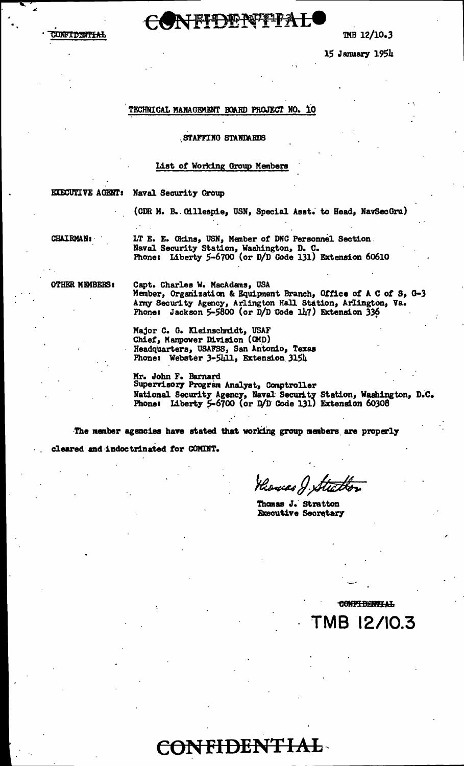# **ONFFDENTFAL**

TMB 12/10.3

15 January 1954

### TECHNICAL MANAGEMENT BOARD PROJECT NO. 10

### STAFFING STANDARDS

### List of Working Group Members

**EXECUTIVE AGENT: Naval Security Group** 

(CDR M. B. Cillespie, USN, Special Asst. to Head, NavSecGru)

**CHAIRMAN:** 

LT E. E. Okins, USN, Member of DNC Personnel Section. Naval Security Station, Washington, D. C.<br>Phone: Liberty 5-6700 (or D/D Code 131) Extension 60610

**OTHER MEMBERS:** 

Capt. Charles W. MacAdams, USA Member, Organization & Equipment Branch, Office of A C of S, G-3 Army Security Agency, Arlington Hall Station, Arlington, Va. Phone: Jackson 5-5800 (or D/D Code 147) Extension 336

Major C. G. Kleinschmidt, USAF Chief, Manpower Division (OMD) Headquarters, USAFSS, San Antonio, Texas<br>Phone: Webster 3-5411, Extension 3154

Mr. John F. Barnard<br>Supervisory Program Analyst, Comptroller National Security Agency, Naval Security Station, Washington, D.C.<br>Phone: Liberty 5-6700 (or D/D Code 131) Extension 60308

The nember agencies have stated that working group members are properly

**CONFIDENTIAL** 

cleared and indoctrinated for COMINT.

Hiowas J. Stia

Thomas J. Stratton Executive Secretary

**CONFIDENTIAL** MB 12/10.3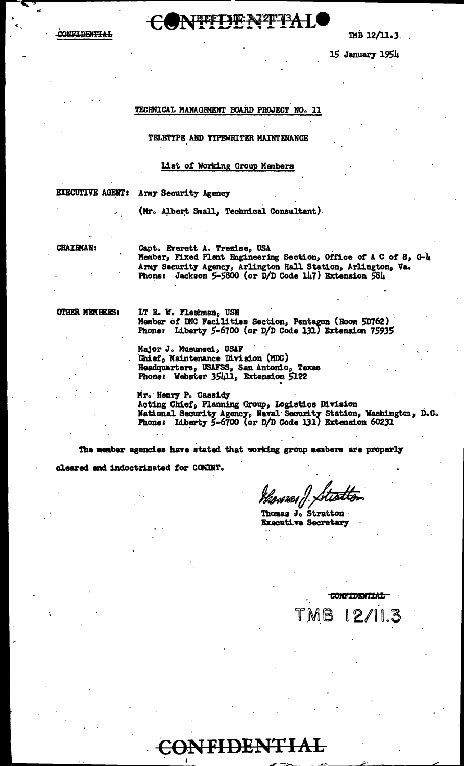**CONF<del>IDENTIAL</del>** 



15 January 1954

### TECHNICAL MANAGEMENT BOARD PROJECT NO. 11

TELETYPE AND TYPEWRITER MAINTENANCE

### List of Working Group Members

**EXECUTIVE AGENT:** Army Security Agency

(Mr. Albert Small, Technical Consultant)

**CHAIRMAN:** 

Capt. Everett A. Trezise, USA Member, Fixed Plant Engineering Section, Office of A C of S, G-4 Army Security Agency, Arlington Hall Station, Arlington, Va. **Phone:** Jackson  $5-5800$  (or  $D/D$  Code  $147$ ) Extension  $581$ 

OTHER MEMBERS:

IT R. W. Fleshman, USN<br>Member of DNC Facilities Section, Pentagon (Room 5D762) Phone: Liberty 5-6700 (or D/D Code 131) Extension 75935

Major J. Musumsci, USAF Chief, Maintenance Division (MDC)<br>Headquarters, USAFSS, San Antonio, Texas<br>Phone: Webster 35411, Extension 5122

Mr. Henry P. Cassidy Acting Chief, Planning Group, Logistics Division<br>National Security Agency, Naval Security Station, Washington, D.C.<br>Phone: Liberty 5-6700 (or D/D Code 131) Extension 60231

The member agencies have stated that working group members are properly cleared and indoctrinated for COMINT.

CONFIDENTIAL

ngwest i <sup>j</sup>

IMB.

Thomas J. Stratton · **Executive Secretary** 

**CONFIDENTIAL** 

 $12/$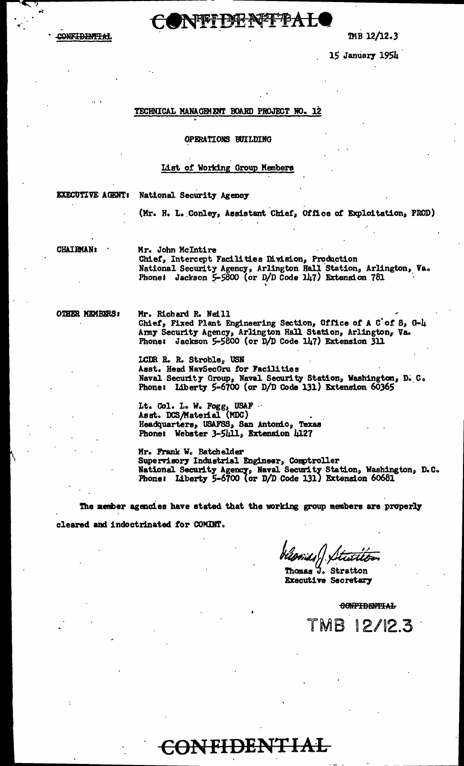NEFFERAFFBAL

CONF<del>IDENTIAL</del>

 $MB 12/12.3$ 

15 January 1954

### TECHNICAL MANAGEMENT BOARD PROJECT NO. 12

### OPERATIONS BUILDING

### List of Working Group Members

**EXECUTIVE AGENT:** National Security Agency

(Mr. H. L. Conley, Assistant Chief, Office of Exploitation, PROD)

**CHAIRMAN:** 

Mr. John McIntire Chief, Intercept Facilities Division, Production National Security Agency, Arlington Hall Station, Arlington, Va.<br>Phone: Jackson 5-5800 (or D/D Code 147) Extension 781

OTHER MEMBERS:

Mr. Richard R. Neill Chief, Fixed Plant Engineering Section, Office of A C'of S, G-4 Army Security Agency, Arlington Hall Station, Arlington, Va.<br>Phone: Jackson 5-5800 (or D/D Code 147) Extension 311

LCDR R. R. Stroble, USN Asst. Head NavSecGru for Facilities Naval Security Group, Naval Security Station, Washington, D. C. Phone: Liberty 5-6700 (or D/D Code 131) Extension 60365

Lt. Col. L. W. Fogg, USAF<br>Asst. DCS/Material (MDC) Headquarters, USAFSS, San Antonio, Texas Phone: Webster 3-5411, Extension 4127

Mr. Frank W. Batchelder Supervisory Industrial Engineer, Comptroller<br>National Security Agency, Naval Security Station, Washington, D.C.<br>Phone: Liberty 5-6700 (or D/D Code 131) Extension 60681

The member agencies have stated that the working group members are properly cleared and indoctrinated for COMINT.

**CONFIDENTIAL** 

Thomas J. Stratton **Executive Secretary** 

**CONFIDENTIAL** 

TMB 12/12.3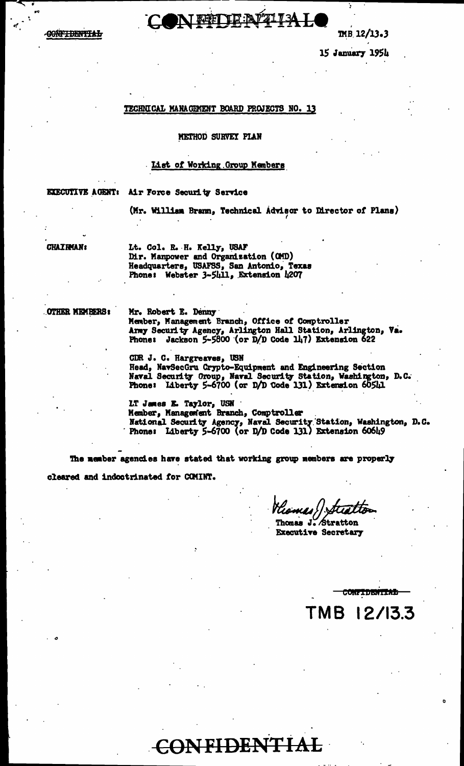

 $MB$  12/13.3

15 January 1954

### TECHNICAL MANAGEMENT BOARD PROJECTS NO. 13

### METHOD SURVEY PLAN

## List of Working Group Members

EXECUTIVE AGENT: Air Force Security Service

(Mr. William Brann, Technical Advisor to Director of Plans)

**CHAIRMAN:** 

Lt. Col. R. H. Kelly, USAF Dir. Manpower and Organization (CMD) Headquarters, USAFSS, San Antonio, Texas<br>Phone: Webster 3-5411, Extension 4207

OTHER MEMBERS:

Mr. Robert E. Denny Member, Management Branch, Office of Comptroller Army Security Agency, Arlington Hall Station, Arlington, Va.<br>Phone: Jackson 5-5800 (or D/D Code 147) Extension 622

CDR J. C. Hargreaves, USN Head, NavSecGru Crypto-Equipment and Engineering Section Naval Security Oroup, Naval Security Station, Washington, D.C. Phone: Liberty 5-6700 (or D/D Code 131) Extension 60541

LT James E. Taylor, USN<br>Member, Management Branch, Comptroller National Security Agency, Naval Security Station, Washington, D.C.<br>Phone: Liberty 5-6700 (or D/D Code 131) Extension 60649

The member agencies have stated that working group members are properly

CONFIDENTIAL

cleared and indoctrinated for COMINT.

Thomas J. Stratton **Executive Secretary** 

TMB 12/13.3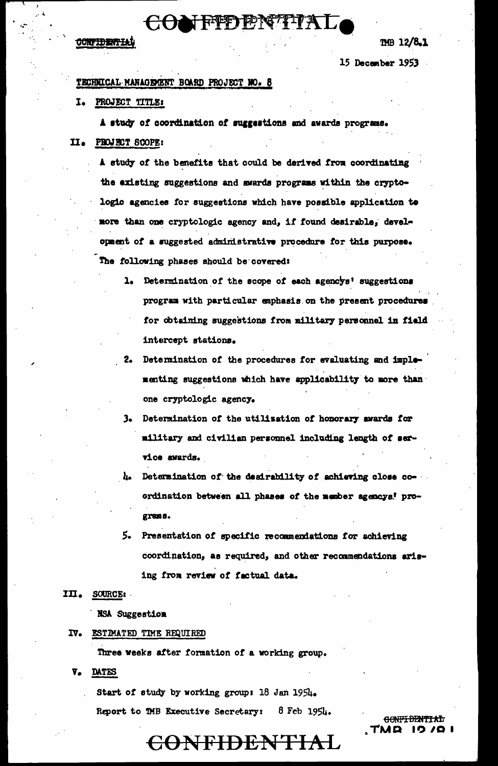# CONFFDENTIA

### **CONFIDENTIAL**

TMB 12/8.1

15 December 1953

## TECHNICAL MANAGEMENT BOARD PROJECT NO. 8

## I. PROJECT TITLE:

A study of coordination of suggestions and awards programs. II. PROJECT SCOPE:

A study of the benefits that could be derived from coordinating the existing suggestions and awards programs within the cryptologic agencies for suggestions which have possible application to nore than one cryptologic agency and, if found desirable, development of a suggested administrative procedure for this purpose. The following phases should be covered:

- 1. Determination of the scope of each agencys' suggestions program with particular emphasis on the present procedures for obtaining suggestions from military personnel in field intercept stations.
- 2. Determination of the procedures for evaluating and implementing suggestions which have applicability to more than one cryptologic agency.
- 3. Determination of the utilization of honorary awards for military and civilian personnel including length of service awards.
- 4. Determination of the desirability of achieving close coordination between all phases of the member agencys! prograns.
- 5. Presentation of specific recommendations for achieving coordination, as required, and other recommendations arising from review of factual data.

## III. SOURCE:

**NSA Suggestion** 

## IV. ESTIMATED TIME REQUIRED

Three weeks after formation of a working group.

V. DATES

Start of study by working group: 18 Jan 1954.

Report to TMB Executive Secretary: 8 Feb 1954.

<del>CONFIDENTIAL</del> TMR ו מג מו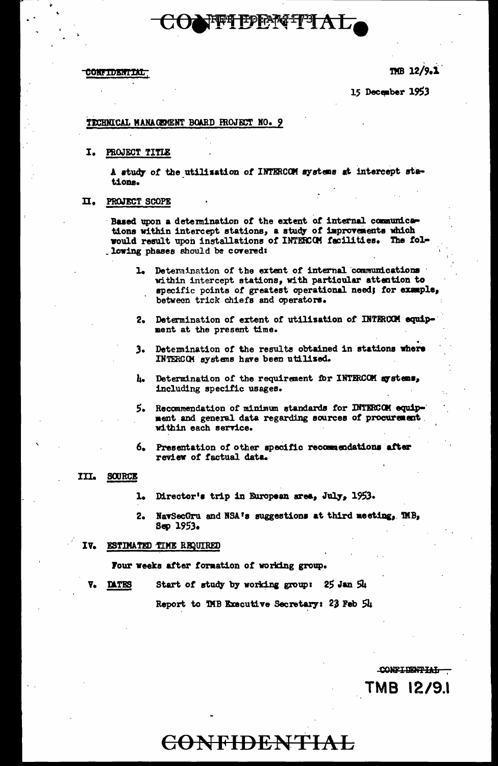TMB 12/9.1

CONFIDENTIAL

TMB 12/9.1

15 December 1953

### TECHNICAL MANAGEMENT BOARD FROJECT NO. 9

I. **PROJECT TITLE** 

> A study of the utilisation of INTERCOM systems at intercept stations.

ONFI EPERTIA

#### PROJECT SCOPE п.

Based upon a determination of the extent of internal communications within intercept stations, a study of improvements which would result upon installations of INTERCOM facilities. The fol-.lowing phases should be covered:

- 1. Determination of the extent of internal communications within intercept stations, with particular attention to specific points of greatest operational need; for example, between trick chiefs and operators.
- 2. Determination of extent of utilization of INTERCOM equipment at the present time.
- Determination of the results obtained in stations where з. INTERCOM systems have been utilized.
- Determination of the requirement for INTERCOM systems, h. including specific usages.
- Recommendation of minimum standards for INTERCOM equip-ment and general data regarding sources of procurement within each service.
- Presentation of other specific recommendations after 6. review of factual data.

### III. SOURCE

- 1. Director's trip in European area, July, 1953.
- NavSecGru and NSA's suggestions at third meeting, TMB,  $2.$  $S<sub>CD</sub>$  1953.

#### IV. ESTIMATED TIME REQUIRED

Four weeks after formation of working group.

Start of study by working group: 25 Jan 54 **DATES** 

Report to TMB Executive Secretary: 23 Feb 54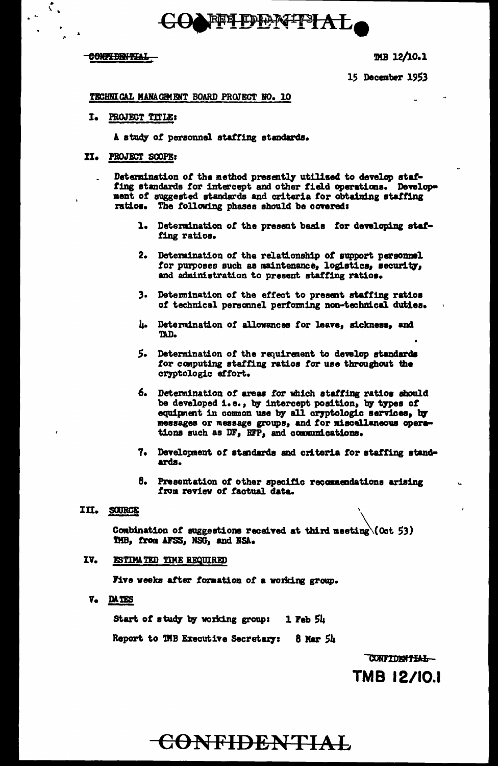# **FFI DENITIAL**

### CONFIDENTIAL

 $\mathcal{L}_\mathrm{c}$ 

TMB 12/10.1

15 December 1953

### TECHNICAL MANAGEMENT BOARD PROJECT NO. 10

#### I. **PROJECT TITLE:**

A study of personnel staffing standards.

### II. PROJECT SCOPE:

Determination of the method presently utilized to develop staffing standards for intercept and other field operations. Development of suggested standards and criteria for obtaining staffing ratios. The following phases should be covered:

- 1. Determination of the present basis for developing staffing ratios.
- $2.$ Determination of the relationship of support personnel for purposes such as maintenance, logistics, security, and administration to present staffing ratios.
- 3. Determination of the effect to present staffing ratios of technical personnel performing non-technical duties.
- h. Determination of allowances for leave, sickness, and TAD.
- 5. Determination of the requirement to develop standards for computing staffing ratios for use throughout the cryptologic effort.
- 6. Determination of areas for which staffing ratios should be developed i.e., by intercept position, by types of equipment in common use by all cryptologic services, by messages or message groups, and for miscellaneous operations such as DF, RFP, and communications.
- 7. Development of standards and criteria for staffing standards.
- 8. Presentation of other specific recommendations arising from review of factual data.

### III. SOURCE

Combination of suggestions received at third meeting\(Oct 53) TMB, from AFSS, NSG, and NSA.

#### IV. ESTIMATED TIME REQUIRED

Five weeks after formation of a working group.

V. DATES

Start of study by working group:  $1$  Feb  $5h$ 

Report to TMB Executive Secretary: 8 Mar 54

CONFIDENTIAL-

TMB 12/10.1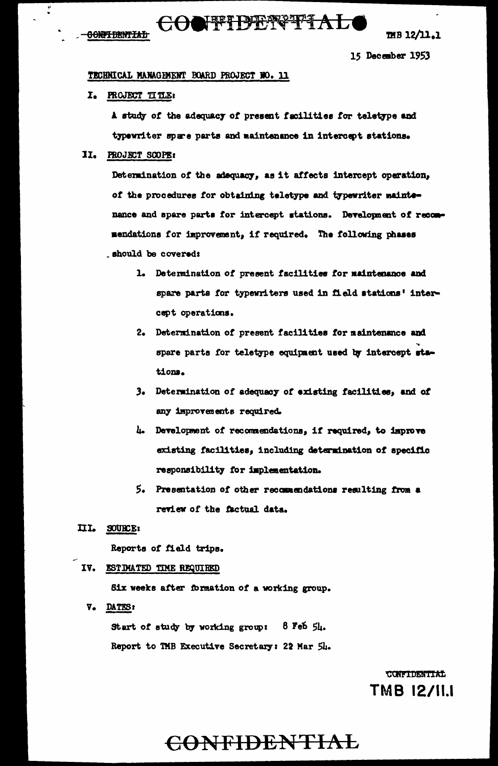**GONFIDENTIAL** 

THB 12/11.1

15 December 1953

### TECHNICAL MANAGEMENT BOARD PROJECT NO. 11

I. PROJECT TITLE:

A study of the adequacy of present facilities for teletype and typewriter spare parts and maintenance in intercept stations.

II. PROJECT SCOPE:

Determination of the adequacy, as it affects intercept operation, of the procedures for obtaining teletype and typewriter maintenance and spare parts for intercept stations. Development of recommendations for improvement, if required. The following phases should be covered:

- 1. Determination of present facilities for maintenance and spare parts for typewriters used in field stations' intercept operations.
- 2. Determination of present facilities for maintenance and spare parts for teletype equipment used by intercept stations.
- 3. Determination of adequacy of existing facilities, and of any improvements required.
- 4. Development of recommendations, if required, to improve existing facilities, including determination of specific responsibility for implementation.
- 5. Presentation of other recommendations resulting from a review of the factual data.
- III. SOURCE:

Reports of field trips.

### IV. ESTIMATED TIME REQUIRED

Six weeks after formation of a working group.

V. DATES:

 $8$  Feb  $5\mu$ . Start of study by working group: Report to TMB Executive Secretary: 22 Mar 54.

> **CONFIDENTIAL** TMB 12/11.1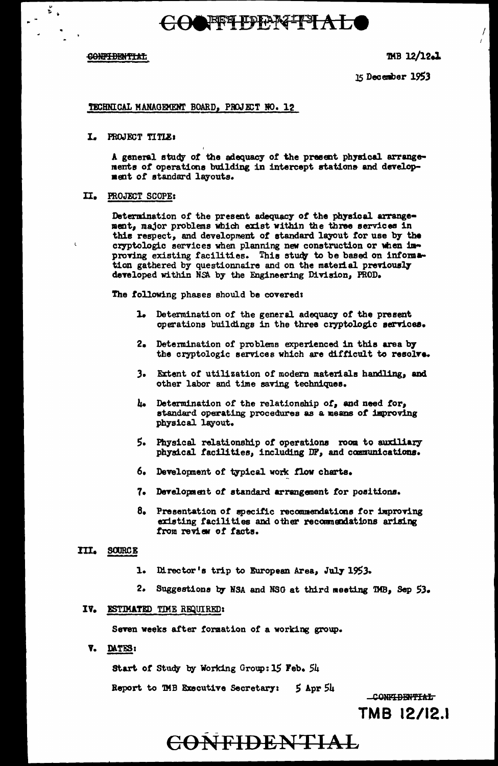# COOFFLEEMTTALO

### CONFIDENTIAL

 $\frac{1}{2}$ 

 $\mathbf{r}$ 

TMB 12/12.1

 $\sqrt{2}$ 

15 December 1953

### TECHNICAL MANAGEMENT BOARD, PROJECT NO. 12

I. PROJECT TITLE:

A general study of the adequacy of the present physical arrangements of operations building in intercept stations and development of standard layouts.

### II. PROJECT SCOPE:

Determination of the present adequacy of the physical arrangement, major problems which exist within the three services in this respect, and development of standard layout for use by the cryptologic services when planning new construction or when improving existing facilities. This study to be based on information gathered by questionnaire and on the material previously developed within NSA by the Engineering Division, PROD.

The following phases should be covered:

- 1. Determination of the general adequacy of the present operations buildings in the three cryptologic services.
- 2. Determination of problems experienced in this area by the cryptologic services which are difficult to resolve.
- Extent of utilization of modern materials handling, and  $\mathbf{3}_{\bullet}$ other labor and time saving techniques.
- h. Determination of the relationship of, and need for, standard operating procedures as a means of improving physical layout.
- 5. Physical relationship of operations room to auxiliary physical facilities, including DF, and communications.
- 6. Development of typical work flow charts.
- 7. Development of standard arrangement for positions.
- 8. Presentation of specific recommendations for improving existing facilities and other recommendations arising from review of facts.

### III. SOURCE

- 1. Director's trip to European Area, July 1953.
- $2.$ Suggestions by NSA and NSG at third meeting TMB, Sep 53.

### IV. ESTIMATED TIME REQUIRED:

Seven weeks after formation of a working group.

V. DATES:

Start of Study by Working Group: 15 Feb. 54

Report to TMB Executive Secretary: 5 Apr 54

CONFIDENTIAL TMB 12/12.1